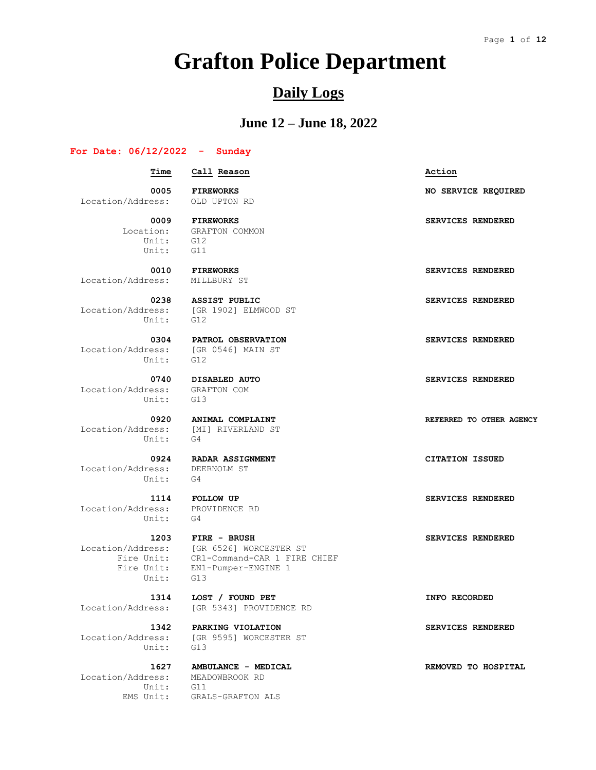# **Grafton Police Department**

## **Daily Logs**

### **June 12 – June 18, 2022**

#### **For Date: 06/12/2022 - Sunday**

 **Time Call Reason Action 0005 FIREWORKS NO SERVICE REQUIRED** Location/Address: OLD UPTON RD  **0009 FIREWORKS SERVICES RENDERED** Location: GRAFTON COMMON Unit: G12 Unit: G11  **0010 FIREWORKS SERVICES RENDERED** Location/Address: MILLBURY ST  **0238 ASSIST PUBLIC SERVICES RENDERED** Location/Address: [GR 1902] ELMWOOD ST Unit: G12 0304 **PATROL OBSERVATION SERVICES RENDERED**  Location/Address: [GR 0546] MAIN ST Unit: G12  **0740 DISABLED AUTO SERVICES RENDERED** Location/Address: Unit: G13  **0920 ANIMAL COMPLAINT REFERRED TO OTHER AGENCY** Location/Address: [MI] RIVERLAND ST Unit: G4  **0924 RADAR ASSIGNMENT CITATION ISSUED** Location/Address: DEERNOLM ST Unit: G4  **1114 FOLLOW UP SERVICES RENDERED** Location/Address: PROVIDENCE RD Unit: G4  **1203 FIRE - BRUSH SERVICES RENDERED** Location/Address: [GR 6526] WORCESTER ST Fire Unit: CR1-Command-CAR 1 FIRE CHIEF Fire Unit: EN1-Pumper-ENGINE 1 Unit: G13

Unit:

Location/Address: MEADOWBROOK RD Unit: G11

 **1314 LOST / FOUND PET INFO RECORDED**

Location/Address: [GR 5343] PROVIDENCE RD

 **1342 PARKING VIOLATION SERVICES RENDERED** Location/Address: [GR 9595] WORCESTER ST

EMS Unit: GRALS-GRAFTON ALS

 **1627 AMBULANCE - MEDICAL REMOVED TO HOSPITAL**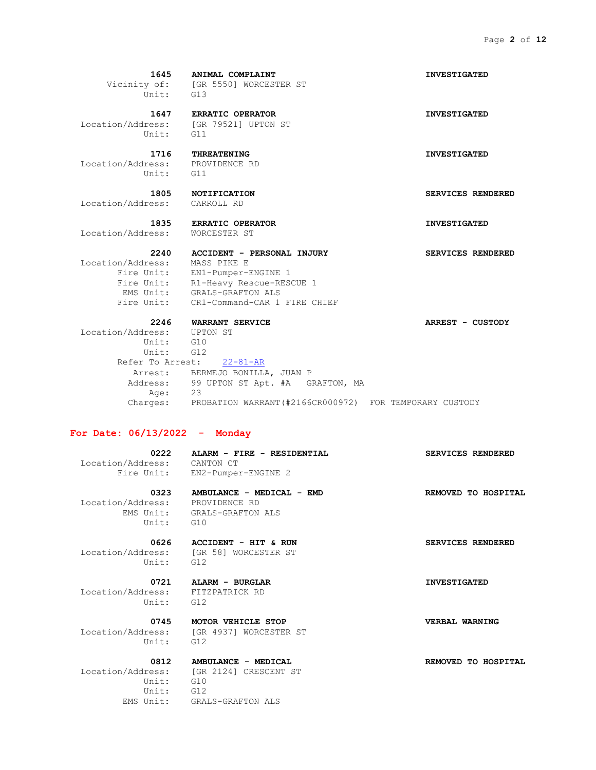|                                          | 1645 ANIMAL COMPLAINT                        | <b>INVESTIGATED</b>      |
|------------------------------------------|----------------------------------------------|--------------------------|
| Unit: G13                                | Vicinity of: [GR 5550] WORCESTER ST          |                          |
|                                          |                                              |                          |
|                                          | 1647 ERRATIC OPERATOR                        | <b>INVESTIGATED</b>      |
| Unit:                                    | Location/Address: [GR 79521] UPTON ST<br>G11 |                          |
|                                          |                                              |                          |
| 1716                                     | <b>THREATENING</b>                           | <b>INVESTIGATED</b>      |
| Location/Address: PROVIDENCE RD<br>Unit: | G11                                          |                          |
|                                          |                                              |                          |
|                                          | 1805 NOTIFICATION                            | <b>SERVICES RENDERED</b> |
| Location/Address: CARROLL RD             |                                              |                          |
|                                          | 1835 ERRATIC OPERATOR                        | <b>INVESTIGATED</b>      |
| Location/Address:                        | WORCESTER ST                                 |                          |
| 2240                                     |                                              |                          |
| Location/Address:                        | ACCIDENT - PERSONAL INJURY<br>MASS PIKE E    | <b>SERVICES RENDERED</b> |
|                                          | Fire Unit: EN1-Pumper-ENGINE 1               |                          |
|                                          | Fire Unit: R1-Heavy Rescue-RESCUE 1          |                          |
|                                          | EMS Unit: GRALS-GRAFTON ALS                  |                          |
|                                          | Fire Unit: CR1-Command-CAR 1 FIRE CHIEF      |                          |
|                                          | 2246 WARRANT SERVICE                         | <b>ARREST - CUSTODY</b>  |
| Location/Address: UPTON ST               |                                              |                          |
| Unit: G10                                |                                              |                          |
| Unit: G12                                |                                              |                          |
|                                          | Refer To Arrest: 22-81-AR                    |                          |
|                                          | Arrest: BERMEJO BONILLA, JUAN P              |                          |
|                                          | Address: 99 UPTON ST Apt. #A GRAFTON, MA     |                          |
| Aae:                                     | 23                                           |                          |
|                                          |                                              |                          |

Charges: PROBATION WARRANT(#2166CR000972) FOR TEMPORARY CUSTODY

#### **For Date: 06/13/2022 - Monday**

Location/Address: CANTON CT

0222 **ALARM - FIRE - RESIDENTIAL** SERVICES RENDERED Fire Unit: EN2-Pumper-ENGINE 2

 **0323 AMBULANCE - MEDICAL - EMD REMOVED TO HOSPITAL** Location/Address: PROVIDENCE RD EMS Unit: GRALS-GRAFTON ALS Unit: G10

 Location/Address: [GR 58] WORCESTER ST Unit: G12

 Location/Address: FITZPATRICK RD Unit: G12

 **0745 MOTOR VEHICLE STOP VERBAL WARNING** Location/Address: [GR 4937] WORCESTER ST Unit: G12

 Location/Address: [GR 2124] CRESCENT ST Unit: G10 Unit: G12 EMS Unit: GRALS-GRAFTON ALS

0626 **ACCIDENT - HIT & RUN SERVICES RENDERED** 

 **0721 ALARM - BURGLAR INVESTIGATED**

 **0812 AMBULANCE - MEDICAL REMOVED TO HOSPITAL**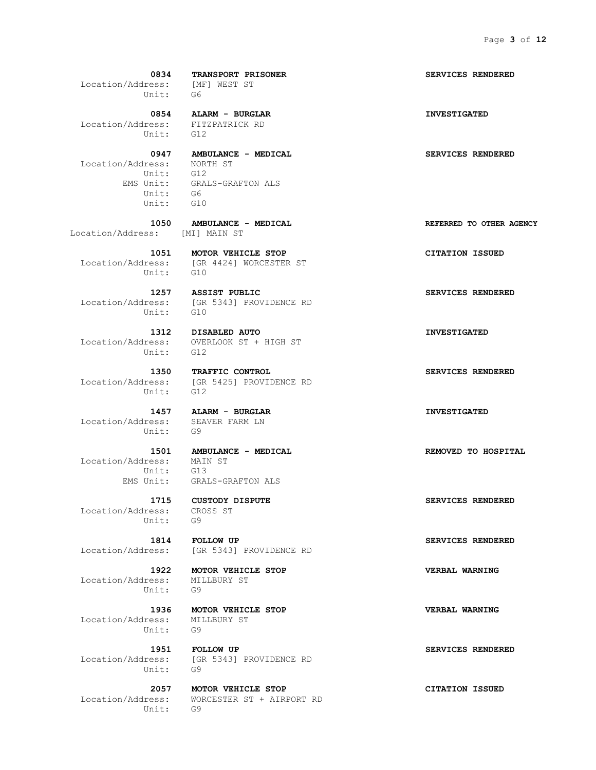Location/Address: [MF] WEST ST Unit: G6  **0854 ALARM - BURGLAR INVESTIGATED** Location/Address: FITZPATRICK RD Unit: G12  **0947 AMBULANCE - MEDICAL SERVICES RENDERED** Location/Address: NORTH ST Unit: G12 EMS Unit: GRALS-GRAFTON ALS Unit: G6 Unit: G10  **1050 AMBULANCE - MEDICAL REFERRED TO OTHER AGENCY** Location/Address: [MI] MAIN ST  **1051 MOTOR VEHICLE STOP CITATION ISSUED** Location/Address: [GR 4424] WORCESTER ST Unit: G10  **1257 ASSIST PUBLIC SERVICES RENDERED** Location/Address: [GR 5343] PROVIDENCE RD Unit: G10

 Location/Address: OVERLOOK ST + HIGH ST Unit: G12

Unit: G12

 Location/Address: SEAVER FARM LN Unit: G9

Location/Address: Unit: G13

 Location/Address: CROSS ST Unit: G9

 Location/Address: MILLBURY ST Unit: G9

 Location/Address: MILLBURY ST Unit: G9

Unit: G9

Unit: G9

 **0834 TRANSPORT PRISONER SERVICES RENDERED**

 **1312 DISABLED AUTO INVESTIGATED**

 **1350 TRAFFIC CONTROL SERVICES RENDERED** Location/Address: [GR 5425] PROVIDENCE RD

 **1457 ALARM - BURGLAR INVESTIGATED**

 **1501 AMBULANCE - MEDICAL REMOVED TO HOSPITAL** EMS Unit: GRALS-GRAFTON ALS

 **1814 FOLLOW UP SERVICES RENDERED** Location/Address: [GR 5343] PROVIDENCE RD

 **1922 MOTOR VEHICLE STOP VERBAL WARNING**

 **1936 MOTOR VEHICLE STOP VERBAL WARNING**

 **1951 FOLLOW UP SERVICES RENDERED** Location/Address: [GR 5343] PROVIDENCE RD

 **2057 MOTOR VEHICLE STOP CITATION ISSUED** Location/Address: WORCESTER ST + AIRPORT RD

 **1715 CUSTODY DISPUTE SERVICES RENDERED**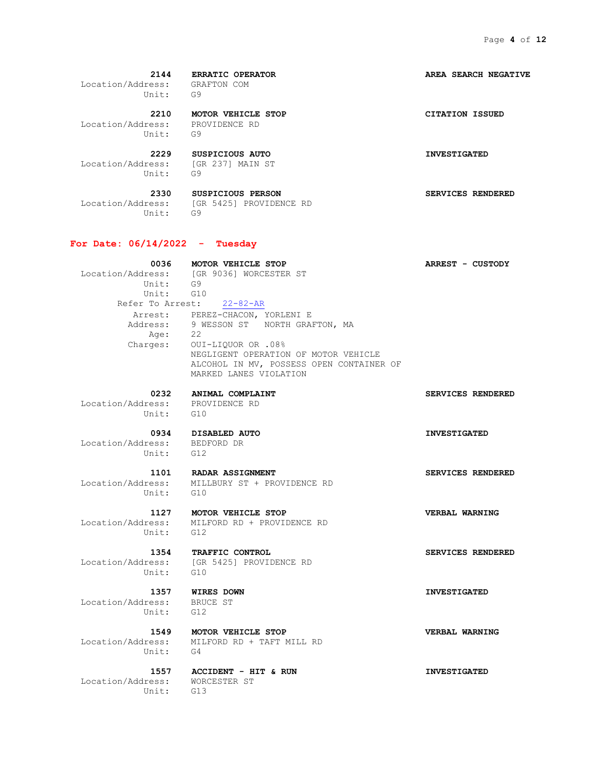**2144 ERRATIC OPERATOR AREA SEARCH NEGATIVE** Location/Address: GRAFTON COM Unit: G9

 **2210 MOTOR VEHICLE STOP CITATION ISSUED** Location/Address: PROVIDENCE RD Unit: G9

 **2229 SUSPICIOUS AUTO INVESTIGATED** Location/Address: [GR 237] MAIN ST

Unit: G9

 **2330 SUSPICIOUS PERSON SERVICES RENDERED** Location/Address: [GR 5425] PROVIDENCE RD Unit: G9

#### **For Date: 06/14/2022 - Tuesday**

 **0036 MOTOR VEHICLE STOP ARREST - CUSTODY** Location/Address: [GR 9036] WORCESTER ST Unit: G9 Unit: G10 Refer To Arrest: 22-82-AR Arrest: PEREZ-CHACON, YORLENI E Address: 9 WESSON ST NORTH GRAFTON, MA Age: 22 Charges: OUI-LIQUOR OR .08% NEGLIGENT OPERATION OF MOTOR VEHICLE ALCOHOL IN MV, POSSESS OPEN CONTAINER OF MARKED LANES VIOLATION

 **0232 ANIMAL COMPLAINT SERVICES RENDERED** Location/Address: PROVIDENCE RD Unit: G10

 **0934 DISABLED AUTO INVESTIGATED**

 Location/Address: BEDFORD DR Unit: G12

1101 **RADAR ASSIGNMENT SERVICES RENDERED**  Location/Address: MILLBURY ST + PROVIDENCE RD Unit: G10

Unit: G12

Location/Address: MILFORD RD + PROVIDENCE RD

Unit: G10

Location/Address: [GR 5425] PROVIDENCE RD

 Location/Address: BRUCE ST Unit: G12

 **1549 MOTOR VEHICLE STOP VERBAL WARNING** Location/Address: MILFORD RD + TAFT MILL RD Unit: G4

 Location/Address: WORCESTER ST Unit: G13

 **1557 ACCIDENT - HIT & RUN INVESTIGATED**

 **1354 TRAFFIC CONTROL SERVICES RENDERED**

 **1357 WIRES DOWN INVESTIGATED**

 **1127 MOTOR VEHICLE STOP VERBAL WARNING**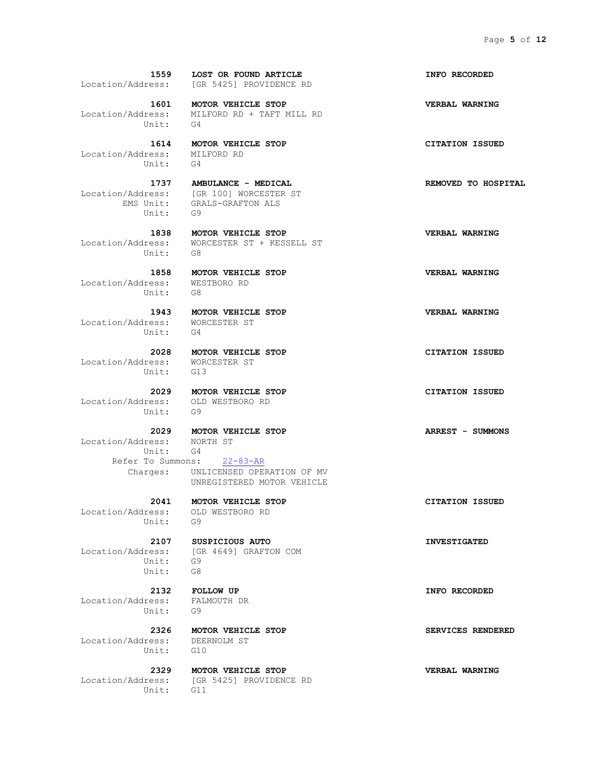**1559 LOST OR FOUND ARTICLE INFO RECORDED** Location/Address: [GR 5425] PROVIDENCE RD  **1601 MOTOR VEHICLE STOP VERBAL WARNING** Location/Address: MILFORD RD + TAFT MILL RD Unit: G4  **1614 MOTOR VEHICLE STOP CITATION ISSUED** Location/Address: MILFORD RD Unit: G4 1737 **AMBULANCE - MEDICAL REMOVED** TO HOSPITAL Location/Address: [GR 100] WORCESTER ST EMS Unit: GRALS-GRAFTON ALS Unit: G9  **1838 MOTOR VEHICLE STOP VERBAL WARNING** Location/Address: WORCESTER ST + KESSELL ST Unit: G8  **1858 MOTOR VEHICLE STOP VERBAL WARNING** Location/Address: WESTBORO RD Unit: G8  **1943 MOTOR VEHICLE STOP VERBAL WARNING** Location/Address: WORCESTER ST Unit: G4  **2028 MOTOR VEHICLE STOP CITATION ISSUED** Location/Address: WORCESTER ST Unit: G13  **2029 MOTOR VEHICLE STOP CITATION ISSUED** Location/Address: OLD WESTBORO RD Unit: G9  **2029 MOTOR VEHICLE STOP ARREST - SUMMONS** Location/Address: NORTH ST Unit: G4 Refer To Summons: 22-83-AR Charges: UNLICENSED OPERATION OF MV UNREGISTERED MOTOR VEHICLE  **2041 MOTOR VEHICLE STOP CITATION ISSUED** Location/Address: OLD WESTBORO RD Unit: G9  **2107 SUSPICIOUS AUTO INVESTIGATED** Location/Address: [GR 4649] GRAFTON COM Unit: G9 Unit: G8  **2132 FOLLOW UP INFO RECORDED** Location/Address: FALMOUTH DR Unit: G9  **2326 MOTOR VEHICLE STOP SERVICES RENDERED**

 Location/Address: DEERNOLM ST Unit: G10

Unit: G11

 **2329 MOTOR VEHICLE STOP VERBAL WARNING** Location/Address: [GR 5425] PROVIDENCE RD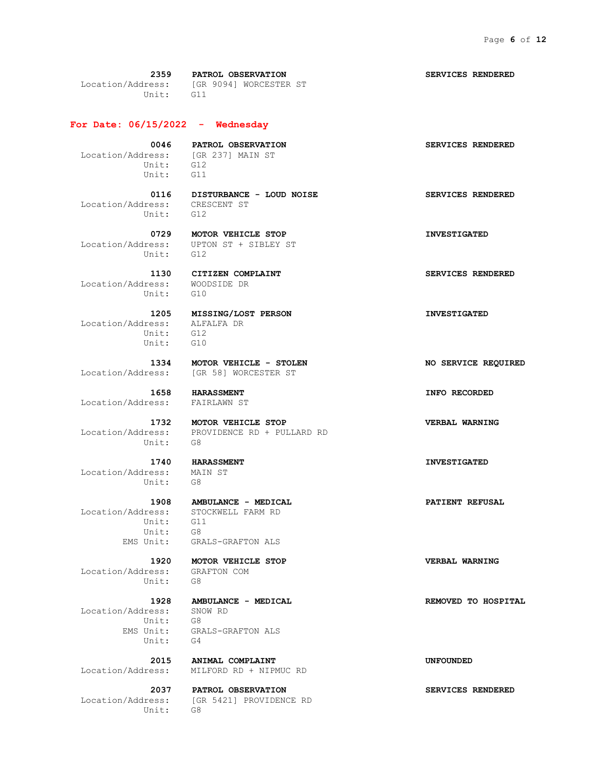**2359 PATROL OBSERVATION SERVICES RENDERED** Location/Address: [GR 9094] WORCESTER ST Unit: G11

**For Date: 06/15/2022 - Wednesday**

 Location/Address: [GR 237] MAIN ST Unit: G12 Unit: G11

 Location/Address: CRESCENT ST Unit: G12

 **0116 DISTURBANCE - LOUD NOISE SERVICES RENDERED**

 **0729 MOTOR VEHICLE STOP INVESTIGATED** Location/Address: UPTON ST + SIBLEY ST Unit: G12

 Location/Address: WOODSIDE DR Unit: G10

Location/Address: Unit: G12<br>Unit: G10 Unit:

Location/Address: [GR 58] WORCESTER ST

Location/Address: FAIRLAWN ST

Unit: G8

 **1740 HARASSMENT INVESTIGATED** Location/Address: Unit: G8

 Unit: G11 Unit: G8

 Location/Address: GRAFTON COM Unit:

 Location/Address: SNOW RD Unit: G8 Unit: G4

Unit: G8

 **1334 MOTOR VEHICLE - STOLEN NO SERVICE REQUIRED**

 **1732 MOTOR VEHICLE STOP VERBAL WARNING** Location/Address: PROVIDENCE RD + PULLARD RD

 **1908 AMBULANCE - MEDICAL PATIENT REFUSAL** Location/Address: STOCKWELL FARM RD EMS Unit: GRALS-GRAFTON ALS

 **1920 MOTOR VEHICLE STOP VERBAL WARNING**

 **1928 AMBULANCE - MEDICAL REMOVED TO HOSPITAL**

EMS Unit: GRALS-GRAFTON ALS

 **2015 ANIMAL COMPLAINT UNFOUNDED** Location/Address: MILFORD RD + NIPMUC RD

 **2037 PATROL OBSERVATION SERVICES RENDERED** Location/Address: [GR 5421] PROVIDENCE RD

0046 **PATROL OBSERVATION SERVICES RENDERED** 

 **1130 CITIZEN COMPLAINT SERVICES RENDERED**

 **1205 MISSING/LOST PERSON INVESTIGATED**

 **1658 HARASSMENT INFO RECORDED**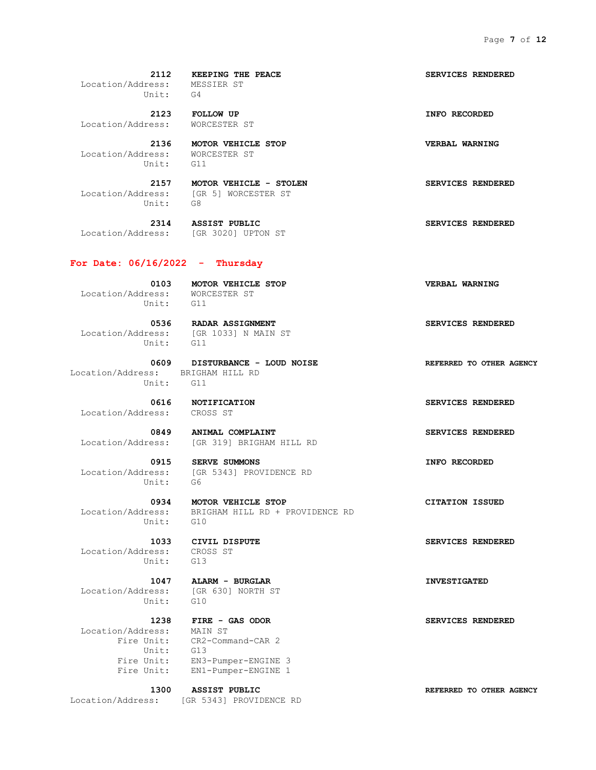**2112 KEEPING THE PEACE SERVICES RENDERED** Location/Address: MESSIER ST Unit: G4

 **2123 FOLLOW UP INFO RECORDED** Location/Address: WORCESTER ST

 **2136 MOTOR VEHICLE STOP VERBAL WARNING** Location/Address: WORCESTER ST Unit: G11

 Location/Address: [GR 5] WORCESTER ST Unit: G8

Location/Address: [GR 3020] UPTON ST

#### **For Date: 06/16/2022 - Thursday**

 Location/Address: WORCESTER ST Unit: G11

Unit: G11

Location/Address: [GR 1033] N MAIN ST

Location/Address: BRIGHAM HILL RD Unit: G11

Location/Address: CROSS ST

Unit: G6

Unit: G10

 Location/Address: CROSS ST Unit: G13

Unit: G10

 Location/Address: MAIN ST Fire Unit: CR2-Command-CAR 2 Unit: G13

 **0609 DISTURBANCE - LOUD NOISE REFERRED TO OTHER AGENCY**

0849 **ANIMAL COMPLAINT SERVICES RENDERED** Location/Address: [GR 319] BRIGHAM HILL RD

 **0915 SERVE SUMMONS INFO RECORDED INFO RECORDED INFO RECORDED** [GR 5343] PROVIDENCE RD

 **0934 MOTOR VEHICLE STOP CITATION ISSUED** Location/Address: BRIGHAM HILL RD + PROVIDENCE RD

 **1047 ALARM - BURGLAR INVESTIGATED** Location/Address: [GR 630] NORTH ST

Fire Unit: EN3-Pumper-ENGINE 3 Fire Unit: EN1-Pumper-ENGINE 1

 **1300 ASSIST PUBLIC REFERRED TO OTHER AGENCY** Location/Address: [GR 5343] PROVIDENCE RD

 **2157 MOTOR VEHICLE - STOLEN SERVICES RENDERED**

 **2314 ASSIST PUBLIC SERVICES RENDERED**

 **0103 MOTOR VEHICLE STOP VERBAL WARNING**

 **0536 RADAR ASSIGNMENT SERVICES RENDERED**

 **0616 NOTIFICATION SERVICES RENDERED**

 **1033 CIVIL DISPUTE SERVICES RENDERED**

 **1238 FIRE - GAS ODOR SERVICES RENDERED**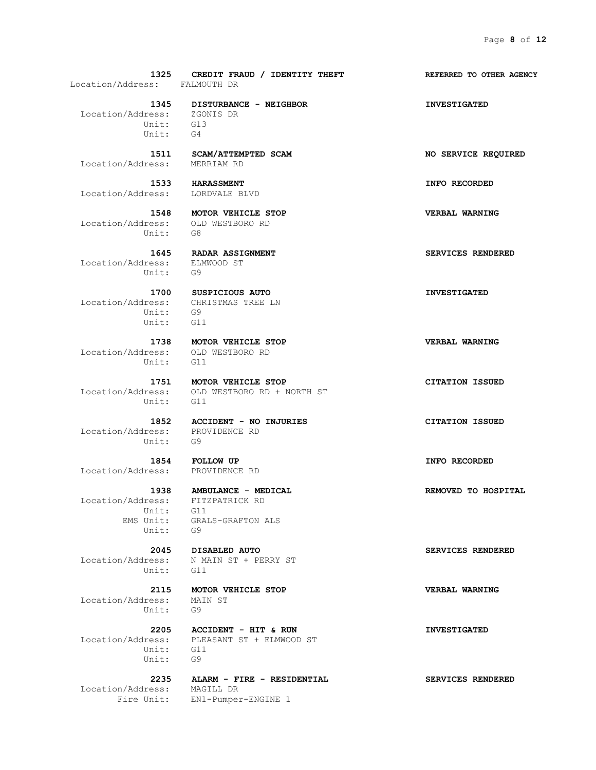**1325 CREDIT FRAUD / IDENTITY THEFT REFERRED TO OTHER AGENCY** Location/Address: FALMOUTH DR  **1345 DISTURBANCE - NEIGHBOR INVESTIGATED** Location/Address: ZGONIS DR Unit: G13 Unit: G4  **1511 SCAM/ATTEMPTED SCAM NO SERVICE REQUIRED** Location/Address: MERRIAM RD  **1533 HARASSMENT INFO RECORDED** Location/Address: LORDVALE BLVD  **1548 MOTOR VEHICLE STOP VERBAL WARNING** Location/Address: OLD WESTBORO RD Unit: G8  **1645 RADAR ASSIGNMENT SERVICES RENDERED** Location/Address: ELMWOOD ST Unit: G9  **1700 SUSPICIOUS AUTO INVESTIGATED** Location/Address: CHRISTMAS TREE LN Unit: G9 Unit: G11  **1738 MOTOR VEHICLE STOP VERBAL WARNING** Location/Address: OLD WESTBORO RD Unit: G11  **1751 MOTOR VEHICLE STOP CITATION ISSUED** Location/Address: OLD WESTBORO RD + NORTH ST Unit: G11  **1852 ACCIDENT - NO INJURIES CITATION ISSUED** Location/Address: PROVIDENCE RD Location/Address: PRO<br>Unit: G9  **1854 FOLLOW UP INFO RECORDED** Location/Address: PROVIDENCE RD  **1938 AMBULANCE - MEDICAL REMOVED TO HOSPITAL** Location/Address: FITZPATRICK RD Unit: G11 EMS Unit: GRALS-GRAFTON ALS Unit: G9  **2045 DISABLED AUTO SERVICES RENDERED** Location/Address: N MAIN ST + PERRY ST Unit: G11  **2115 MOTOR VEHICLE STOP VERBAL WARNING** Location/Address: MAIN ST Unit: G9

 **2205 ACCIDENT - HIT & RUN INVESTIGATED** Location/Address: PLEASANT ST + ELMWOOD ST Unit: G11 Unit: G9

Location/Address: MAGILL DR

Fire Unit: EN1-Pumper-ENGINE 1

 **2235 ALARM - FIRE - RESIDENTIAL SERVICES RENDERED**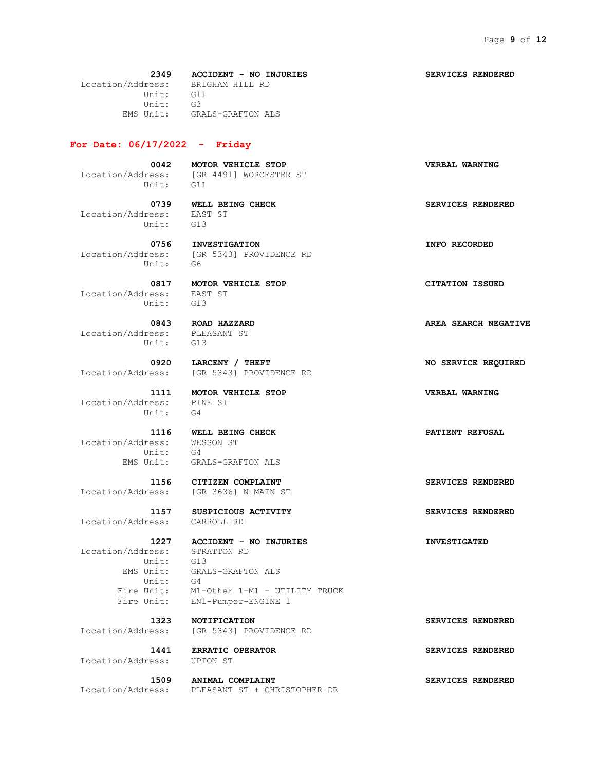**2349 ACCIDENT - NO INJURIES SERVICES RENDERED** Location/Address: BRIGHAM HILL RD Unit: G11 Unit: G3 EMS Unit: GRALS-GRAFTON ALS

#### **For Date: 06/17/2022 - Friday**

 **0042 MOTOR VEHICLE STOP VERBAL WARNING** Location/Address: [GR 4491] WORCESTER ST Unit: G11

 Location/Address: EAST ST Unit: G13

 **0739 WELL BEING CHECK SERVICES RENDERED**

 **0756 INVESTIGATION INFO RECORDED** Location/Address: [GR 5343] PROVIDENCE RD Unit: G6

 **0817 MOTOR VEHICLE STOP CITATION ISSUED** Location/Address: EAST ST Unit: G13

 Location/Address: PLEASANT ST Unit: G13

Location/Address: [GR 5343] PROVIDENCE RD

 Location/Address: PINE ST Unit: G4

Location/Address: Unit: G4 EMS Unit: GRALS-GRAFTON ALS

 **1156 CITIZEN COMPLAINT SERVICES RENDERED** Location/Address: [GR 3636] N MAIN ST

Location/Address: CARROLL RD

 Location/Address: STRATTON RD Unit: G13 Unit: G4

 EMS Unit: GRALS-GRAFTON ALS Fire Unit: M1-Other 1-M1 - UTILITY TRUCK Fire Unit: EN1-Pumper-ENGINE 1

 **1323 NOTIFICATION SERVICES RENDERED** Location/Address: [GR 5343] PROVIDENCE RD

Location/Address: UPTON ST

 **1441 ERRATIC OPERATOR SERVICES RENDERED**

 **1509 ANIMAL COMPLAINT SERVICES RENDERED**

Location/Address: PLEASANT ST + CHRISTOPHER DR

 **0843 ROAD HAZZARD AREA SEARCH NEGATIVE**

 **0920 LARCENY / THEFT NO SERVICE REQUIRED**

 **1111 MOTOR VEHICLE STOP VERBAL WARNING**

**1116 WELL BEING CHECK PATIENT REFUSAL**<br> **PATIENT REFUSAL**<br> **PATIENT REFUSAL** 

 **1157 SUSPICIOUS ACTIVITY SERVICES RENDERED**

 **1227 ACCIDENT - NO INJURIES INVESTIGATED**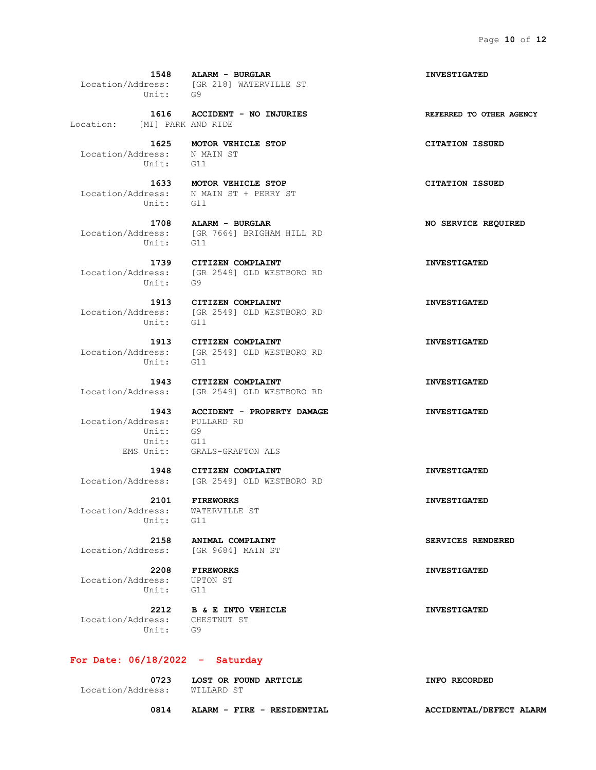**1548 ALARM - BURGLAR INVESTIGATED** Location/Address: [GR 218] WATERVILLE ST Unit: G9

Location: [MI] PARK AND RIDE

 Location/Address: N MAIN ST Unit: G11

Unit: G11

Unit:

Unit: G11

Unit: G11

 Location/Address: PULLARD RD Unit: G9 Unit: G11 EMS Unit: GRALS-GRAFTON ALS

Location/Address: [GR 2549] OLD WESTBORO RD

 Location/Address: WATERVILLE ST Unit: G11

Location/Address: [GR 9684] MAIN ST

 **2208 FIREWORKS INVESTIGATED** Location/Address: UPTON ST Unit: G11

 **2212 B & E INTO VEHICLE INVESTIGATED** Location/Address: CHESTNUT ST Unit: G9

#### **For Date: 06/18/2022 - Saturday**

 **0723 LOST OR FOUND ARTICLE INFO RECORDED** Location/Address: WILLARD ST

 **1616 ACCIDENT - NO INJURIES REFERRED TO OTHER AGENCY**

 **1625 MOTOR VEHICLE STOP CITATION ISSUED**

 **1633 MOTOR VEHICLE STOP CITATION ISSUED** Location/Address: N MAIN ST + PERRY ST

 **1708 ALARM - BURGLAR NO SERVICE REQUIRED** Location/Address: [GR 7664] BRIGHAM HILL RD Unit: G11

 **1739 CITIZEN COMPLAINT INVESTIGATED** Location/Address: [GR 2549] OLD WESTBORO RD<br>Unit: G9

 **1913 CITIZEN COMPLAINT INVESTIGATED** Location/Address: [GR 2549] OLD WESTBORO RD

 **1913 CITIZEN COMPLAINT INVESTIGATED** Location/Address: [GR 2549] OLD WESTBORO RD

 **1943 CITIZEN COMPLAINT INVESTIGATED** Location/Address: [GR 2549] OLD WESTBORO RD

 **1943 ACCIDENT - PROPERTY DAMAGE INVESTIGATED**

 **1948 CITIZEN COMPLAINT INVESTIGATED**

 **2101 FIREWORKS INVESTIGATED**

 **2158 ANIMAL COMPLAINT SERVICES RENDERED**

 **0814 ALARM - FIRE - RESIDENTIAL ACCIDENTAL/DEFECT ALARM**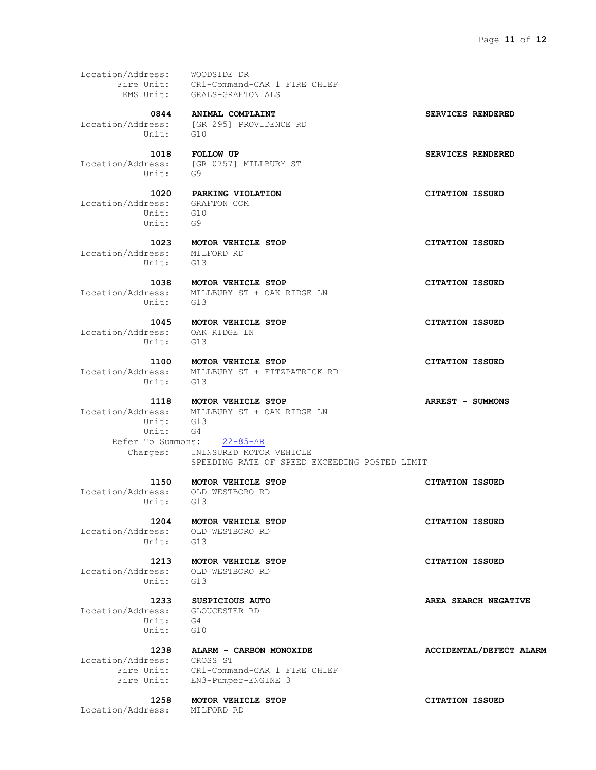Location/Address: WOODSIDE DR Fire Unit: CR1-Command-CAR 1 FIRE CHIEF EMS Unit: GRALS-GRAFTON ALS  **0844 ANIMAL COMPLAINT SERVICES RENDERED** Location/Address: [GR 295] PROVIDENCE RD Unit: G10  **1018 FOLLOW UP SERVICES RENDERED** Location/Address: [GR 0757] MILLBURY ST Unit: G9  **1020 PARKING VIOLATION CITATION ISSUED** Location/Address: GRAFTON COM Unit: G10 Unit: G9  **1023 MOTOR VEHICLE STOP CITATION ISSUED** Location/Address: MILFORD RD Unit: G13  **1038 MOTOR VEHICLE STOP CITATION ISSUED** Location/Address: MILLBURY ST + OAK RIDGE LN Unit: G13  **1045 MOTOR VEHICLE STOP CITATION ISSUED** Location/Address: OAK RIDGE LN Unit: G13  **1100 MOTOR VEHICLE STOP CITATION ISSUED** Location/Address: MILLBURY ST + FITZPATRICK RD Unit: G13  **1118 MOTOR VEHICLE STOP ARREST - SUMMONS** Location/Address: MILLBURY ST + OAK RIDGE LN Unit: G13 Unit: G4 Refer To Summons: 22-85-AR Charges: UNINSURED MOTOR VEHICLE SPEEDING RATE OF SPEED EXCEEDING POSTED LIMIT  **1150 MOTOR VEHICLE STOP CITATION ISSUED** Location/Address: OLD WESTBORO RD Unit: G13  **1204 MOTOR VEHICLE STOP CITATION ISSUED** Location/Address: OLD WESTBORO RD Unit: G13  **1213 MOTOR VEHICLE STOP CITATION ISSUED** Location/Address: OLD WESTBORO RD Unit: G13  **1233 SUSPICIOUS AUTO AREA SEARCH NEGATIVE** Location/Address: GLOUCESTER RD Unit: G4 Unit: G10  **1238 ALARM - CARBON MONOXIDE ACCIDENTAL/DEFECT ALARM** Location/Address: CROSS ST

Fire Unit: EN3-Pumper-ENGINE 3

Fire Unit: CR1-Command-CAR 1 FIRE CHIEF

Location/Address: MILFORD RD

 **1258 MOTOR VEHICLE STOP CITATION ISSUED**